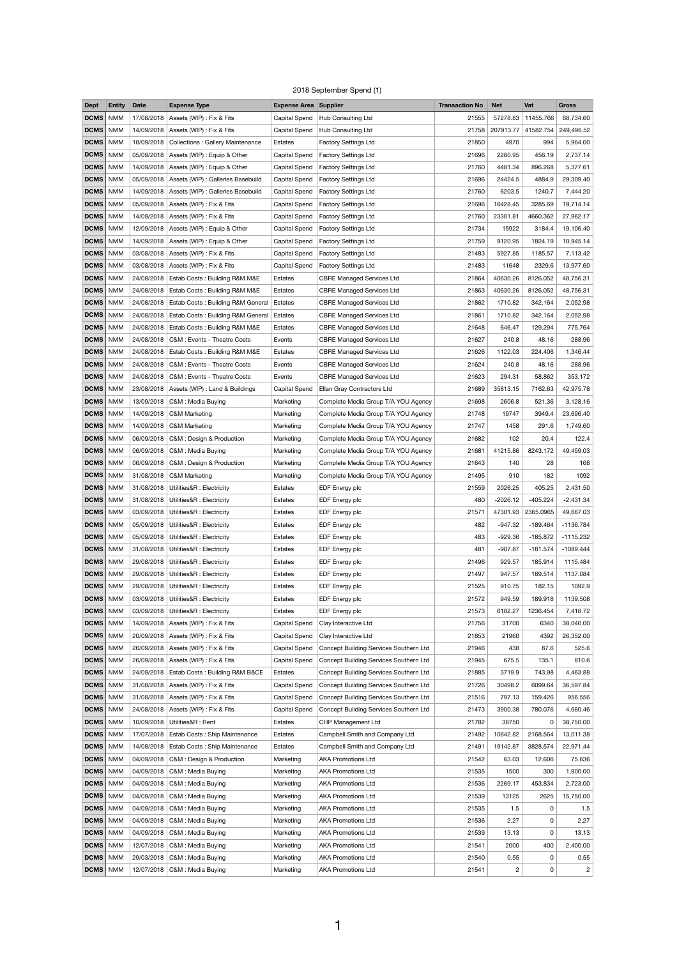## 2018 September Spend (1)

| <b>Dept</b>     | <b>Entity</b> | <b>Date</b> | <b>Expense Type</b>                             | <b>Expense Area Supplier</b> |                                               | <b>Transaction No</b> | <b>Net</b>     | Vat        | <b>Gross</b>   |
|-----------------|---------------|-------------|-------------------------------------------------|------------------------------|-----------------------------------------------|-----------------------|----------------|------------|----------------|
| <b>DCMS</b>     | <b>NMM</b>    | 17/08/2018  | Assets (WIP) : Fix & Fits                       | <b>Capital Spend</b>         | Hub Consulting Ltd                            | 21555                 | 57278.83       | 11455.766  | 68,734.60      |
| DCMS            | <b>NMM</b>    | 14/09/2018  | Assets (WIP) : Fix & Fits                       | <b>Capital Spend</b>         | Hub Consulting Ltd                            | 21758                 | 207913.77      | 41582.754  | 249,496.52     |
| DCMS            | <b>NMM</b>    | 18/09/2018  | <b>Collections: Gallery Maintenance</b>         | Estates                      | <b>Factory Settings Ltd</b>                   | 21850                 | 4970           | 994        | 5,964.00       |
| DCMS            | <b>NMM</b>    |             | 05/09/2018   Assets (WIP) : Equip & Other       | <b>Capital Spend</b>         | <b>Factory Settings Ltd</b>                   | 21696                 | 2280.95        | 456.19     | 2,737.14       |
| DCMS            | <b>NMM</b>    | 14/09/2018  | Assets (WIP) : Equip & Other                    | <b>Capital Spend</b>         | <b>Factory Settings Ltd</b>                   | 21760                 | 4481.34        | 896.268    | 5,377.61       |
| DCMS            | <b>NMM</b>    | 05/09/2018  | Assets (WIP) : Galleries Basebuild              | Capital Spend                | <b>Factory Settings Ltd</b>                   | 21696                 | 24424.5        | 4884.9     | 29,309.40      |
| DCMS            | <b>NMM</b>    |             | 14/09/2018   Assets (WIP) : Galleries Basebuild | Capital Spend                | <b>Factory Settings Ltd</b>                   | 21760                 | 6203.5         | 1240.7     | 7,444.20       |
| DCMS            | <b>NMM</b>    | 05/09/2018  | Assets (WIP) : Fix & Fits                       | <b>Capital Spend</b>         | <b>Factory Settings Ltd</b>                   | 21696                 | 16428.45       | 3285.69    | 19,714.14      |
| <b>DCMS</b>     | <b>NMM</b>    | 14/09/2018  | Assets (WIP) : Fix & Fits                       | <b>Capital Spend</b>         | <b>Factory Settings Ltd</b>                   | 21760                 | 23301.81       | 4660.362   | 27,962.17      |
| DCMS            | <b>NMM</b>    |             | 12/09/2018   Assets (WIP) : Equip & Other       | Capital Spend                | <b>Factory Settings Ltd</b>                   | 21734                 | 15922          | 3184.4     | 19,106.40      |
| DCMS            | <b>NMM</b>    | 14/09/2018  | Assets (WIP) : Equip & Other                    | <b>Capital Spend</b>         | <b>Factory Settings Ltd</b>                   | 21759                 | 9120.95        | 1824.19    | 10,945.14      |
| <b>DCMS</b>     | <b>NMM</b>    | 03/08/2018  | Assets (WIP) : Fix & Fits                       | <b>Capital Spend</b>         | <b>Factory Settings Ltd</b>                   | 21483                 | 5927.85        | 1185.57    | 7,113.42       |
| DCMS            | <b>NMM</b>    | 03/08/2018  | Assets (WIP) : Fix & Fits                       | <b>Capital Spend</b>         | <b>Factory Settings Ltd</b>                   | 21483                 | 11648          | 2329.6     | 13,977.60      |
| DCMS            | <b>NMM</b>    | 24/08/2018  | Estab Costs: Building R&M M&E                   | Estates                      | <b>CBRE Managed Services Ltd</b>              | 21864                 | 40630.26       | 8126.052   | 48,756.31      |
| DCMS            | <b>NMM</b>    | 24/08/2018  | <b>Estab Costs: Building R&amp;M M&amp;E</b>    | Estates                      | <b>CBRE Managed Services Ltd</b>              | 21863                 | 40630.26       | 8126.052   | 48,756.31      |
| DCMS            | <b>NMM</b>    | 24/08/2018  | <b>Estab Costs: Building R&amp;M General</b>    | Estates                      | <b>CBRE Managed Services Ltd</b>              | 21862                 | 1710.82        | 342.164    | 2,052.98       |
| DCMS            | <b>NMM</b>    | 24/08/2018  | Estab Costs: Building R&M General               | Estates                      | <b>CBRE Managed Services Ltd</b>              | 21861                 | 1710.82        | 342.164    | 2,052.98       |
| DCMS            | <b>NMM</b>    | 24/08/2018  | Estab Costs: Building R&M M&E                   | Estates                      | <b>CBRE Managed Services Ltd</b>              | 21648                 | 646.47         | 129.294    | 775.764        |
| DCMS            | <b>NMM</b>    | 24/08/2018  | C&M : Events - Theatre Costs                    | Events                       | <b>CBRE Managed Services Ltd</b>              | 21627                 | 240.8          | 48.16      | 288.96         |
| DCMS            | <b>NMM</b>    | 24/08/2018  | <b>Estab Costs: Building R&amp;M M&amp;E</b>    | Estates                      | <b>CBRE Managed Services Ltd</b>              | 21626                 | 1122.03        | 224.406    | 1,346.44       |
| DCMS            | <b>NMM</b>    |             | 24/08/2018   C&M : Events - Theatre Costs       | Events                       | <b>CBRE Managed Services Ltd</b>              | 21624                 | 240.8          | 48.16      | 288.96         |
| DCMS            | <b>NMM</b>    |             | 24/08/2018   C&M : Events - Theatre Costs       | Events                       | <b>CBRE Managed Services Ltd</b>              | 21623                 | 294.31         | 58.862     | 353.172        |
| DCMS            | <b>NMM</b>    | 23/08/2018  | Assets (WIP) : Land & Buildings                 | <b>Capital Spend</b>         | Ellan Gray Contractors Ltd                    | 21689                 | 35813.15       | 7162.63    | 42,975.78      |
| DCMS            | <b>NMM</b>    | 13/09/2018  | C&M: Media Buying                               | Marketing                    | Complete Media Group T/A YOU Agency           | 21698                 | 2606.8         | 521.36     | 3,128.16       |
| DCMS            | <b>NMM</b>    | 14/09/2018  | <b>C&amp;M Marketing</b>                        | Marketing                    | Complete Media Group T/A YOU Agency           | 21748                 | 19747          | 3949.4     | 23,696.40      |
| DCMS            | <b>NMM</b>    | 14/09/2018  | <b>C&amp;M Marketing</b>                        | Marketing                    | Complete Media Group T/A YOU Agency           | 21747                 | 1458           | 291.6      | 1,749.60       |
| DCMS            | <b>NMM</b>    |             | 06/09/2018   C&M : Design & Production          | Marketing                    | Complete Media Group T/A YOU Agency           | 21682                 | 102            | 20.4       | 122.4          |
| DCMS            | <b>NMM</b>    | 06/09/2018  | C&M: Media Buying                               | Marketing                    | Complete Media Group T/A YOU Agency           | 21681                 | 41215.86       | 8243.172   | 49,459.03      |
| DCMS            | <b>NMM</b>    | 06/09/2018  | C&M : Design & Production                       | Marketing                    | Complete Media Group T/A YOU Agency           | 21643                 | 140            | 28         | 168            |
| DCMS            | <b>NMM</b>    |             | 31/08/2018   C&M Marketing                      | Marketing                    | Complete Media Group T/A YOU Agency           | 21495                 | 910            | 182        | 1092           |
| DCMS            | <b>NMM</b>    | 31/08/2018  | Utilities&R : Electricity                       | Estates                      | EDF Energy plc                                | 21559                 | 2026.25        | 405.25     | 2,431.50       |
| DCMS            | <b>NMM</b>    | 31/08/2018  | Utilities&R : Electricity                       | Estates                      | EDF Energy plc                                | 480                   | $-2026.12$     | $-405.224$ | $-2,431.34$    |
| DCMS            | <b>NMM</b>    |             | 03/09/2018   Utilities&R : Electricity          | Estates                      | EDF Energy plc                                | 21571                 | 47301.93       | 2365.0965  | 49,667.03      |
| DCMS            | <b>NMM</b>    | 05/09/2018  | Utilities&R : Electricity                       | Estates                      | EDF Energy plc                                | 482                   | $-947.32$      | $-189.464$ | -1136.784      |
| <b>DCMS</b>     | <b>NMM</b>    | 05/09/2018  | Utilities&R : Electricity                       | Estates                      | EDF Energy plc                                | 483                   | $-929.36$      | $-185.872$ | $-1115.232$    |
| DCMS            | <b>NMM</b>    | 31/08/2018  | Utilities&R: Electricity                        | Estates                      | EDF Energy plc                                | 481                   | $-907.87$      | $-181.574$ | $-1089.444$    |
| DCMS            | <b>NMM</b>    | 29/08/2018  | Utilities&R : Electricity                       | Estates                      | EDF Energy plc                                | 21496                 | 929.57         | 185.914    | 1115.484       |
| <b>DCMS</b>     | <b>NMM</b>    | 29/08/2018  | Utilities&R : Electricity                       | Estates                      | EDF Energy plc                                | 21497                 | 947.57         | 189.514    | 1137.084       |
| DCMS            | <b>NMM</b>    | 29/08/2018  | Utilities&R : Electricity                       | Estates                      | EDF Energy plc                                | 21525                 | 910.75         | 182.15     | 1092.9         |
| DCMS            | <b>NMM</b>    | 03/09/2018  | Utilities&R : Electricity                       | Estates                      | EDF Energy plc                                | 21572                 | 949.59         | 189.918    | 1139.508       |
| DCMS            | <b>NMM</b>    | 03/09/2018  | Utilities&R : Electricity                       | Estates                      | EDF Energy plc                                | 21573                 | 6182.27        | 1236.454   | 7,418.72       |
| DCMS            | <b>NMM</b>    | 14/09/2018  | Assets (WIP) : Fix & Fits                       | <b>Capital Spend</b>         | Clay Interactive Ltd                          | 21756                 | 31700          | 6340       | 38,040.00      |
| DCMS            | <b>NMM</b>    | 20/09/2018  | Assets (WIP) : Fix & Fits                       | <b>Capital Spend</b>         | Clay Interactive Ltd                          | 21853                 | 21960          | 4392       | 26,352.00      |
| <b>DCMS</b> NMM |               |             | 26/09/2018   Assets (WIP) : Fix & Fits          | Capital Spend                | <b>Concept Building Services Southern Ltd</b> | 21946                 | 438            | 87.6       | 525.6          |
| DCMS            | <b>NMM</b>    | 26/09/2018  | Assets (WIP) : Fix & Fits                       | <b>Capital Spend</b>         | <b>Concept Building Services Southern Ltd</b> | 21945                 | 675.5          | 135.1      | 810.6          |
| DCMS            | <b>NMM</b>    | 24/09/2018  | Estab Costs: Building R&M B&CE                  | Estates                      | Concept Building Services Southern Ltd        | 21885                 | 3719.9         | 743.98     | 4,463.88       |
| DCMS            | <b>NMM</b>    | 31/08/2018  | Assets (WIP) : Fix & Fits                       | <b>Capital Spend</b>         | Concept Building Services Southern Ltd        | 21726                 | 30498.2        | 6099.64    | 36,597.84      |
| <b>DCMS</b>     | <b>NMM</b>    | 31/08/2018  | Assets (WIP) : Fix & Fits                       | Capital Spend                | Concept Building Services Southern Ltd        | 21516                 | 797.13         | 159.426    | 956.556        |
| DCMS            | <b>NMM</b>    | 24/08/2018  | Assets (WIP) : Fix & Fits                       | <b>Capital Spend</b>         | Concept Building Services Southern Ltd        | 21473                 | 3900.38        | 780.076    | 4,680.46       |
| DCMS            | <b>NMM</b>    | 10/09/2018  | Utilities&R: Rent                               | Estates                      | <b>CHP Management Ltd</b>                     | 21782                 | 38750          | 0          | 38,750.00      |
| <b>DCMS</b>     | <b>NMM</b>    | 17/07/2018  | Estab Costs: Ship Maintenance                   | Estates                      | Campbell Smith and Company Ltd                | 21492                 | 10842.82       | 2168.564   | 13,011.38      |
| DCMS            | <b>NMM</b>    | 14/08/2018  | Estab Costs: Ship Maintenance                   | Estates                      | Campbell Smith and Company Ltd                | 21491                 | 19142.87       | 3828.574   | 22,971.44      |
| DCMS            | <b>NMM</b>    | 04/09/2018  | C&M : Design & Production                       | Marketing                    | <b>AKA Promotions Ltd</b>                     | 21542                 | 63.03          | 12.606     | 75.636         |
| DCMS            | <b>NMM</b>    | 04/09/2018  | C&M: Media Buying                               | Marketing                    | <b>AKA Promotions Ltd</b>                     | 21535                 | 1500           | 300        | 1,800.00       |
| DCMS            | <b>NMM</b>    | 04/09/2018  | C&M: Media Buying                               | Marketing                    | <b>AKA Promotions Ltd</b>                     | 21536                 | 2269.17        | 453.834    | 2,723.00       |
| DCMS            | <b>NMM</b>    | 04/09/2018  | C&M: Media Buying                               | Marketing                    | <b>AKA Promotions Ltd</b>                     | 21539                 | 13125          | 2625       | 15,750.00      |
| DCMS            | <b>NMM</b>    | 04/09/2018  | C&M: Media Buying                               | Marketing                    | <b>AKA Promotions Ltd</b>                     | 21535                 | 1.5            | 0          | 1.5            |
| <b>DCMS</b>     | <b>NMM</b>    | 04/09/2018  | C&M: Media Buying                               | Marketing                    | <b>AKA Promotions Ltd</b>                     | 21536                 | 2.27           | 0          | 2.27           |
| DCMS            | <b>NMM</b>    | 04/09/2018  | C&M: Media Buying                               | Marketing                    | <b>AKA Promotions Ltd</b>                     | 21539                 | 13.13          | 0          | 13.13          |
| DCMS            | <b>NMM</b>    | 12/07/2018  | C&M: Media Buying                               | Marketing                    | <b>AKA Promotions Ltd</b>                     | 21541                 | 2000           | 400        | 2,400.00       |
| DCMS            | <b>NMM</b>    | 29/03/2018  | C&M: Media Buying                               | Marketing                    | <b>AKA Promotions Ltd</b>                     | 21540                 | 0.55           | 0          | 0.55           |
| DCMS   NMM      |               |             | 12/07/2018   C&M : Media Buying                 | Marketing                    | <b>AKA Promotions Ltd</b>                     | 21541                 | $\overline{c}$ | 0          | $\overline{c}$ |